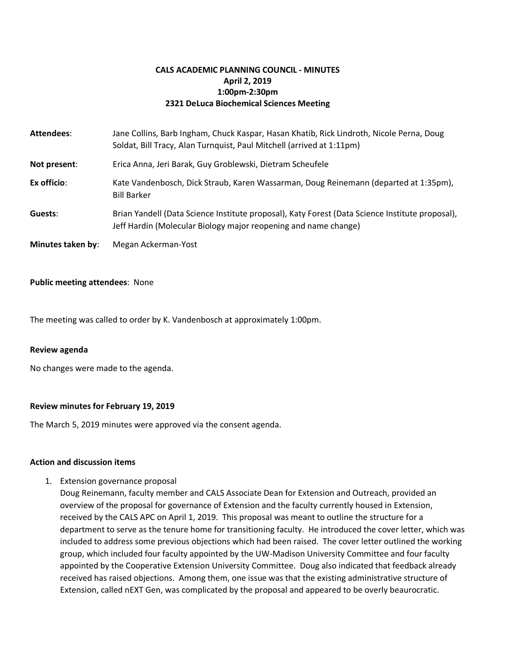# **CALS ACADEMIC PLANNING COUNCIL - MINUTES April 2, 2019 1:00pm-2:30pm 2321 DeLuca Biochemical Sciences Meeting**

| Attendees:        | Jane Collins, Barb Ingham, Chuck Kaspar, Hasan Khatib, Rick Lindroth, Nicole Perna, Doug<br>Soldat, Bill Tracy, Alan Turnquist, Paul Mitchell (arrived at 1:11pm)  |
|-------------------|--------------------------------------------------------------------------------------------------------------------------------------------------------------------|
| Not present:      | Erica Anna, Jeri Barak, Guy Groblewski, Dietram Scheufele                                                                                                          |
| Ex officio:       | Kate Vandenbosch, Dick Straub, Karen Wassarman, Doug Reinemann (departed at 1:35pm),<br><b>Bill Barker</b>                                                         |
| Guests:           | Brian Yandell (Data Science Institute proposal), Katy Forest (Data Science Institute proposal),<br>Jeff Hardin (Molecular Biology major reopening and name change) |
| Minutes taken by: | Megan Ackerman-Yost                                                                                                                                                |

### **Public meeting attendees**: None

The meeting was called to order by K. Vandenbosch at approximately 1:00pm.

### **Review agenda**

No changes were made to the agenda.

## **Review minutes for February 19, 2019**

The March 5, 2019 minutes were approved via the consent agenda.

### **Action and discussion items**

1. Extension governance proposal

Doug Reinemann, faculty member and CALS Associate Dean for Extension and Outreach, provided an overview of the proposal for governance of Extension and the faculty currently housed in Extension, received by the CALS APC on April 1, 2019. This proposal was meant to outline the structure for a department to serve as the tenure home for transitioning faculty. He introduced the cover letter, which was included to address some previous objections which had been raised. The cover letter outlined the working group, which included four faculty appointed by the UW-Madison University Committee and four faculty appointed by the Cooperative Extension University Committee. Doug also indicated that feedback already received has raised objections. Among them, one issue was that the existing administrative structure of Extension, called nEXT Gen, was complicated by the proposal and appeared to be overly beaurocratic.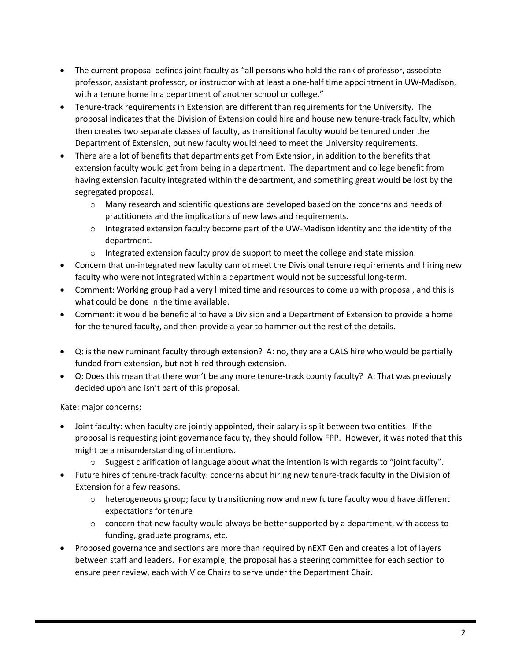- The current proposal defines joint faculty as "all persons who hold the rank of professor, associate professor, assistant professor, or instructor with at least a one-half time appointment in UW-Madison, with a tenure home in a department of another school or college."
- Tenure-track requirements in Extension are different than requirements for the University. The proposal indicates that the Division of Extension could hire and house new tenure-track faculty, which then creates two separate classes of faculty, as transitional faculty would be tenured under the Department of Extension, but new faculty would need to meet the University requirements.
- There are a lot of benefits that departments get from Extension, in addition to the benefits that extension faculty would get from being in a department. The department and college benefit from having extension faculty integrated within the department, and something great would be lost by the segregated proposal.
	- $\circ$  Many research and scientific questions are developed based on the concerns and needs of practitioners and the implications of new laws and requirements.
	- $\circ$  Integrated extension faculty become part of the UW-Madison identity and the identity of the department.
	- $\circ$  Integrated extension faculty provide support to meet the college and state mission.
- Concern that un-integrated new faculty cannot meet the Divisional tenure requirements and hiring new faculty who were not integrated within a department would not be successful long-term.
- Comment: Working group had a very limited time and resources to come up with proposal, and this is what could be done in the time available.
- Comment: it would be beneficial to have a Division and a Department of Extension to provide a home for the tenured faculty, and then provide a year to hammer out the rest of the details.
- Q: is the new ruminant faculty through extension? A: no, they are a CALS hire who would be partially funded from extension, but not hired through extension.
- Q: Does this mean that there won't be any more tenure-track county faculty? A: That was previously decided upon and isn't part of this proposal.

# Kate: major concerns:

- Joint faculty: when faculty are jointly appointed, their salary is split between two entities. If the proposal is requesting joint governance faculty, they should follow FPP. However, it was noted that this might be a misunderstanding of intentions.
	- $\circ$  Suggest clarification of language about what the intention is with regards to "joint faculty".
- Future hires of tenure-track faculty: concerns about hiring new tenure-track faculty in the Division of Extension for a few reasons:
	- $\circ$  heterogeneous group; faculty transitioning now and new future faculty would have different expectations for tenure
	- $\circ$  concern that new faculty would always be better supported by a department, with access to funding, graduate programs, etc.
- Proposed governance and sections are more than required by nEXT Gen and creates a lot of layers between staff and leaders. For example, the proposal has a steering committee for each section to ensure peer review, each with Vice Chairs to serve under the Department Chair.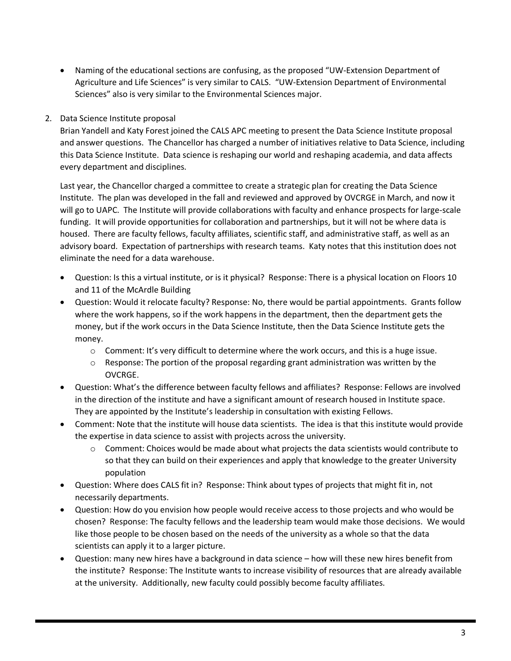- Naming of the educational sections are confusing, as the proposed "UW-Extension Department of Agriculture and Life Sciences" is very similar to CALS. "UW-Extension Department of Environmental Sciences" also is very similar to the Environmental Sciences major.
- 2. Data Science Institute proposal

Brian Yandell and Katy Forest joined the CALS APC meeting to present the Data Science Institute proposal and answer questions. The Chancellor has charged a number of initiatives relative to Data Science, including this Data Science Institute. Data science is reshaping our world and reshaping academia, and data affects every department and disciplines.

Last year, the Chancellor charged a committee to create a strategic plan for creating the Data Science Institute. The plan was developed in the fall and reviewed and approved by OVCRGE in March, and now it will go to UAPC. The Institute will provide collaborations with faculty and enhance prospects for large-scale funding. It will provide opportunities for collaboration and partnerships, but it will not be where data is housed. There are faculty fellows, faculty affiliates, scientific staff, and administrative staff, as well as an advisory board. Expectation of partnerships with research teams. Katy notes that this institution does not eliminate the need for a data warehouse.

- Question: Is this a virtual institute, or is it physical? Response: There is a physical location on Floors 10 and 11 of the McArdle Building
- Question: Would it relocate faculty? Response: No, there would be partial appointments. Grants follow where the work happens, so if the work happens in the department, then the department gets the money, but if the work occurs in the Data Science Institute, then the Data Science Institute gets the money.
	- $\circ$  Comment: It's very difficult to determine where the work occurs, and this is a huge issue.
	- $\circ$  Response: The portion of the proposal regarding grant administration was written by the OVCRGE.
- Question: What's the difference between faculty fellows and affiliates? Response: Fellows are involved in the direction of the institute and have a significant amount of research housed in Institute space. They are appointed by the Institute's leadership in consultation with existing Fellows.
- Comment: Note that the institute will house data scientists. The idea is that this institute would provide the expertise in data science to assist with projects across the university.
	- $\circ$  Comment: Choices would be made about what projects the data scientists would contribute to so that they can build on their experiences and apply that knowledge to the greater University population
- Question: Where does CALS fit in? Response: Think about types of projects that might fit in, not necessarily departments.
- Question: How do you envision how people would receive access to those projects and who would be chosen? Response: The faculty fellows and the leadership team would make those decisions. We would like those people to be chosen based on the needs of the university as a whole so that the data scientists can apply it to a larger picture.
- Question: many new hires have a background in data science how will these new hires benefit from the institute? Response: The Institute wants to increase visibility of resources that are already available at the university. Additionally, new faculty could possibly become faculty affiliates.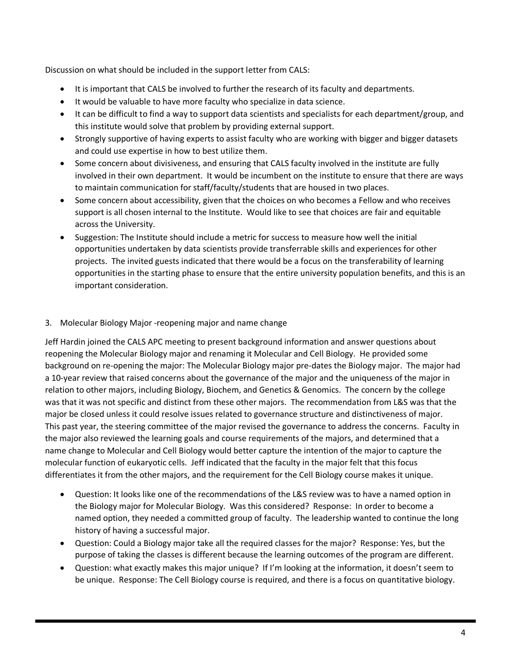Discussion on what should be included in the support letter from CALS:

- It is important that CALS be involved to further the research of its faculty and departments.
- It would be valuable to have more faculty who specialize in data science.
- It can be difficult to find a way to support data scientists and specialists for each department/group, and this institute would solve that problem by providing external support.
- Strongly supportive of having experts to assist faculty who are working with bigger and bigger datasets and could use expertise in how to best utilize them.
- Some concern about divisiveness, and ensuring that CALS faculty involved in the institute are fully involved in their own department. It would be incumbent on the institute to ensure that there are ways to maintain communication for staff/faculty/students that are housed in two places.
- Some concern about accessibility, given that the choices on who becomes a Fellow and who receives support is all chosen internal to the Institute. Would like to see that choices are fair and equitable across the University.
- Suggestion: The Institute should include a metric for success to measure how well the initial opportunities undertaken by data scientists provide transferrable skills and experiences for other projects. The invited guests indicated that there would be a focus on the transferability of learning opportunities in the starting phase to ensure that the entire university population benefits, and this is an important consideration.

# 3. Molecular Biology Major -reopening major and name change

Jeff Hardin joined the CALS APC meeting to present background information and answer questions about reopening the Molecular Biology major and renaming it Molecular and Cell Biology. He provided some background on re-opening the major: The Molecular Biology major pre-dates the Biology major. The major had a 10-year review that raised concerns about the governance of the major and the uniqueness of the major in relation to other majors, including Biology, Biochem, and Genetics & Genomics. The concern by the college was that it was not specific and distinct from these other majors. The recommendation from L&S was that the major be closed unless it could resolve issues related to governance structure and distinctiveness of major. This past year, the steering committee of the major revised the governance to address the concerns. Faculty in the major also reviewed the learning goals and course requirements of the majors, and determined that a name change to Molecular and Cell Biology would better capture the intention of the major to capture the molecular function of eukaryotic cells. Jeff indicated that the faculty in the major felt that this focus differentiates it from the other majors, and the requirement for the Cell Biology course makes it unique.

- Question: It looks like one of the recommendations of the L&S review was to have a named option in the Biology major for Molecular Biology. Was this considered? Response: In order to become a named option, they needed a committed group of faculty. The leadership wanted to continue the long history of having a successful major.
- Question: Could a Biology major take all the required classes for the major? Response: Yes, but the purpose of taking the classes is different because the learning outcomes of the program are different.
- Question: what exactly makes this major unique? If I'm looking at the information, it doesn't seem to be unique. Response: The Cell Biology course is required, and there is a focus on quantitative biology.